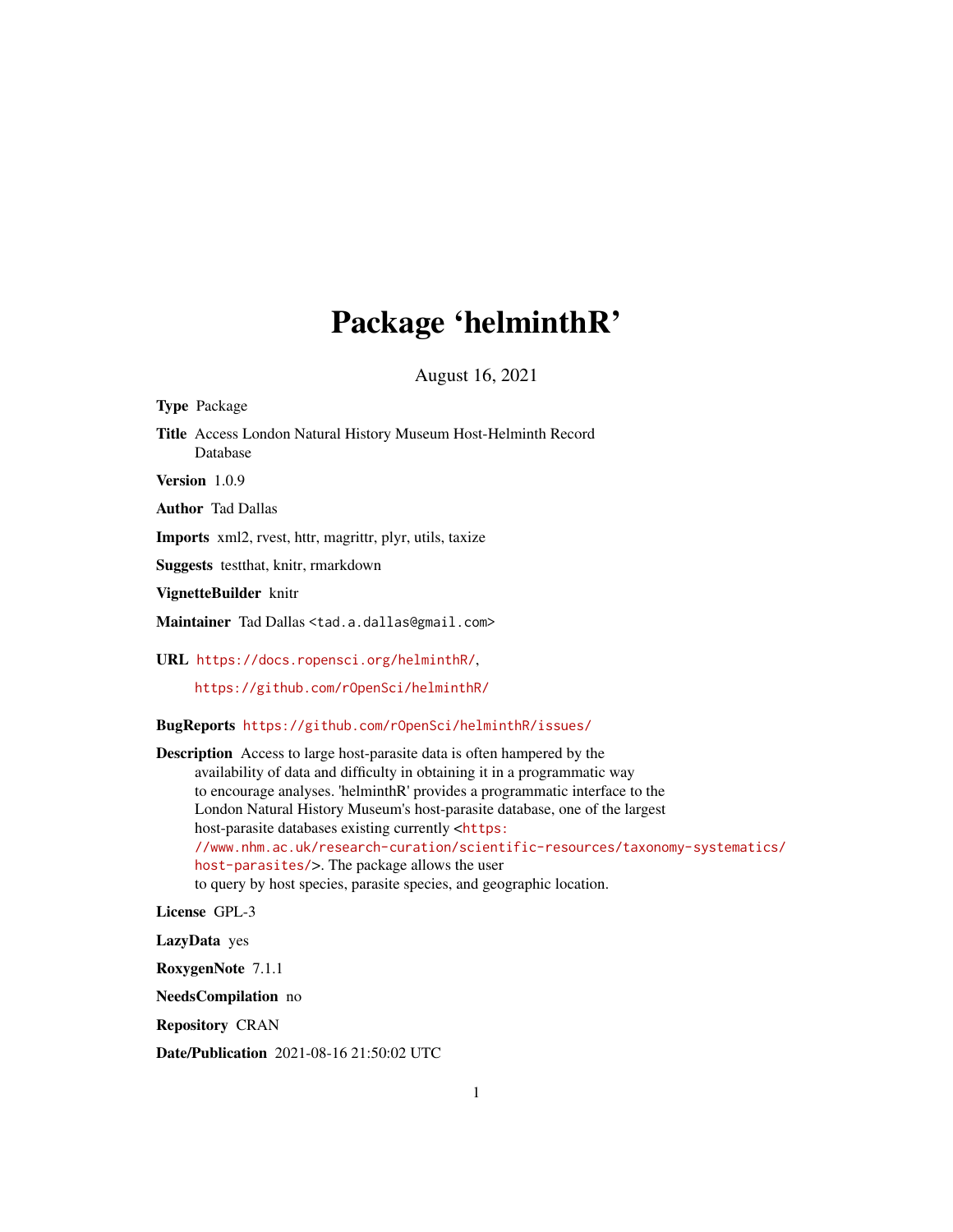## Package 'helminthR'

August 16, 2021

Type Package Title Access London Natural History Museum Host-Helminth Record Database Version 1.0.9

Author Tad Dallas

Imports xml2, rvest, httr, magrittr, plyr, utils, taxize

Suggests testthat, knitr, rmarkdown

VignetteBuilder knitr

Maintainer Tad Dallas <tad.a.dallas@gmail.com>

URL <https://docs.ropensci.org/helminthR/>,

<https://github.com/rOpenSci/helminthR/>

BugReports <https://github.com/rOpenSci/helminthR/issues/>

Description Access to large host-parasite data is often hampered by the availability of data and difficulty in obtaining it in a programmatic way to encourage analyses. 'helminthR' provides a programmatic interface to the London Natural History Museum's host-parasite database, one of the largest host-parasite databases existing currently <[https:](https://www.nhm.ac.uk/research-curation/scientific-resources/taxonomy-systematics/host-parasites/) [//www.nhm.ac.uk/research-curation/scientific-resources/taxonomy-systematics/](https://www.nhm.ac.uk/research-curation/scientific-resources/taxonomy-systematics/host-parasites/) [host-parasites/](https://www.nhm.ac.uk/research-curation/scientific-resources/taxonomy-systematics/host-parasites/)>. The package allows the user to query by host species, parasite species, and geographic location.

License GPL-3

LazyData yes

RoxygenNote 7.1.1

NeedsCompilation no

Repository CRAN

Date/Publication 2021-08-16 21:50:02 UTC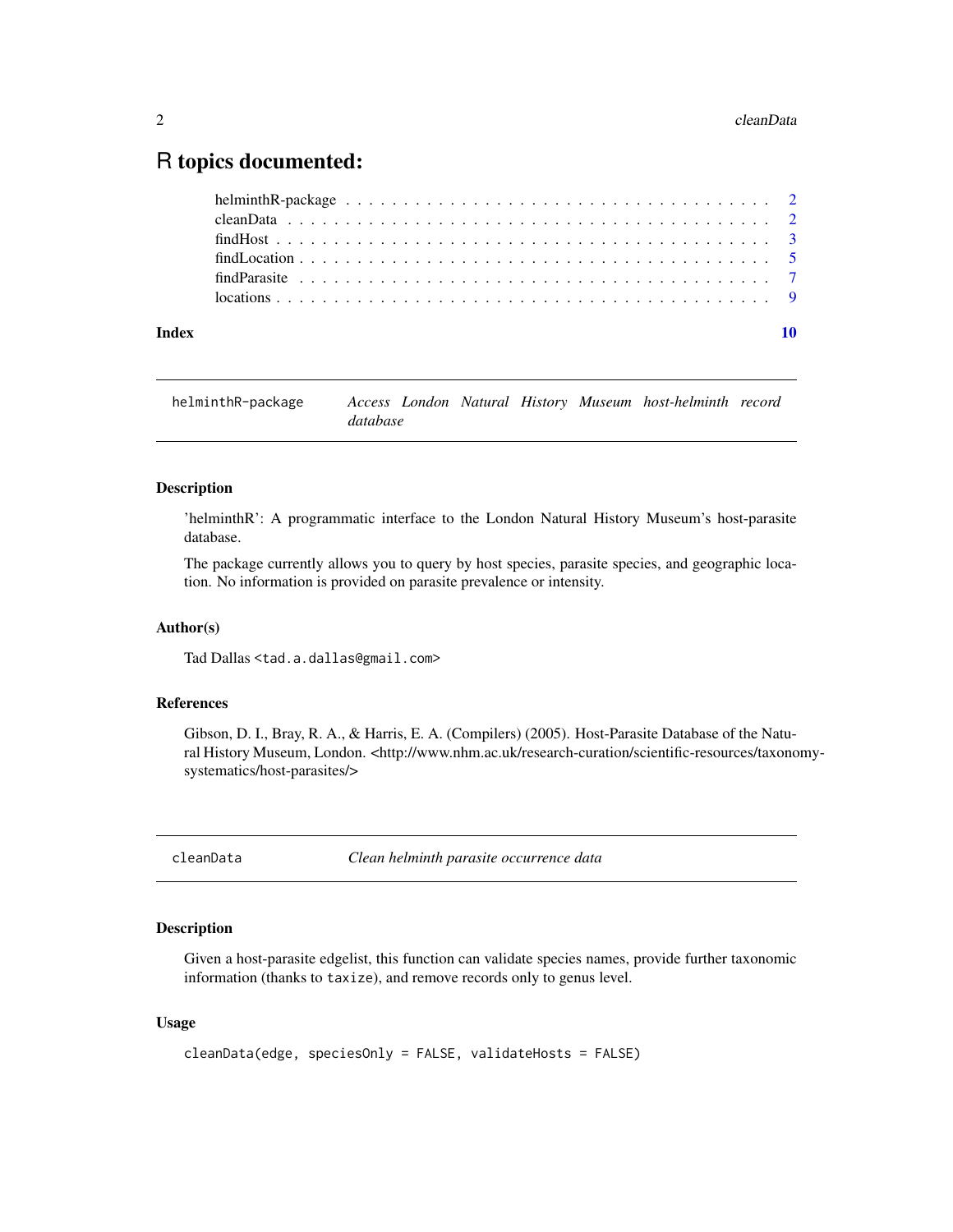### <span id="page-1-0"></span>R topics documented:

| Index | 10 |
|-------|----|
|       |    |
|       |    |
|       |    |
|       |    |
|       |    |
|       |    |

| helminthR-package |          |  |  | Access London Natural History Museum host-helminth record |  |
|-------------------|----------|--|--|-----------------------------------------------------------|--|
|                   | database |  |  |                                                           |  |

#### Description

'helminthR': A programmatic interface to the London Natural History Museum's host-parasite database.

The package currently allows you to query by host species, parasite species, and geographic location. No information is provided on parasite prevalence or intensity.

#### Author(s)

Tad Dallas <tad.a.dallas@gmail.com>

#### References

Gibson, D. I., Bray, R. A., & Harris, E. A. (Compilers) (2005). Host-Parasite Database of the Natural History Museum, London. <http://www.nhm.ac.uk/research-curation/scientific-resources/taxonomysystematics/host-parasites/>

cleanData *Clean helminth parasite occurrence data*

#### Description

Given a host-parasite edgelist, this function can validate species names, provide further taxonomic information (thanks to taxize), and remove records only to genus level.

#### Usage

```
cleanData(edge, speciesOnly = FALSE, validateHosts = FALSE)
```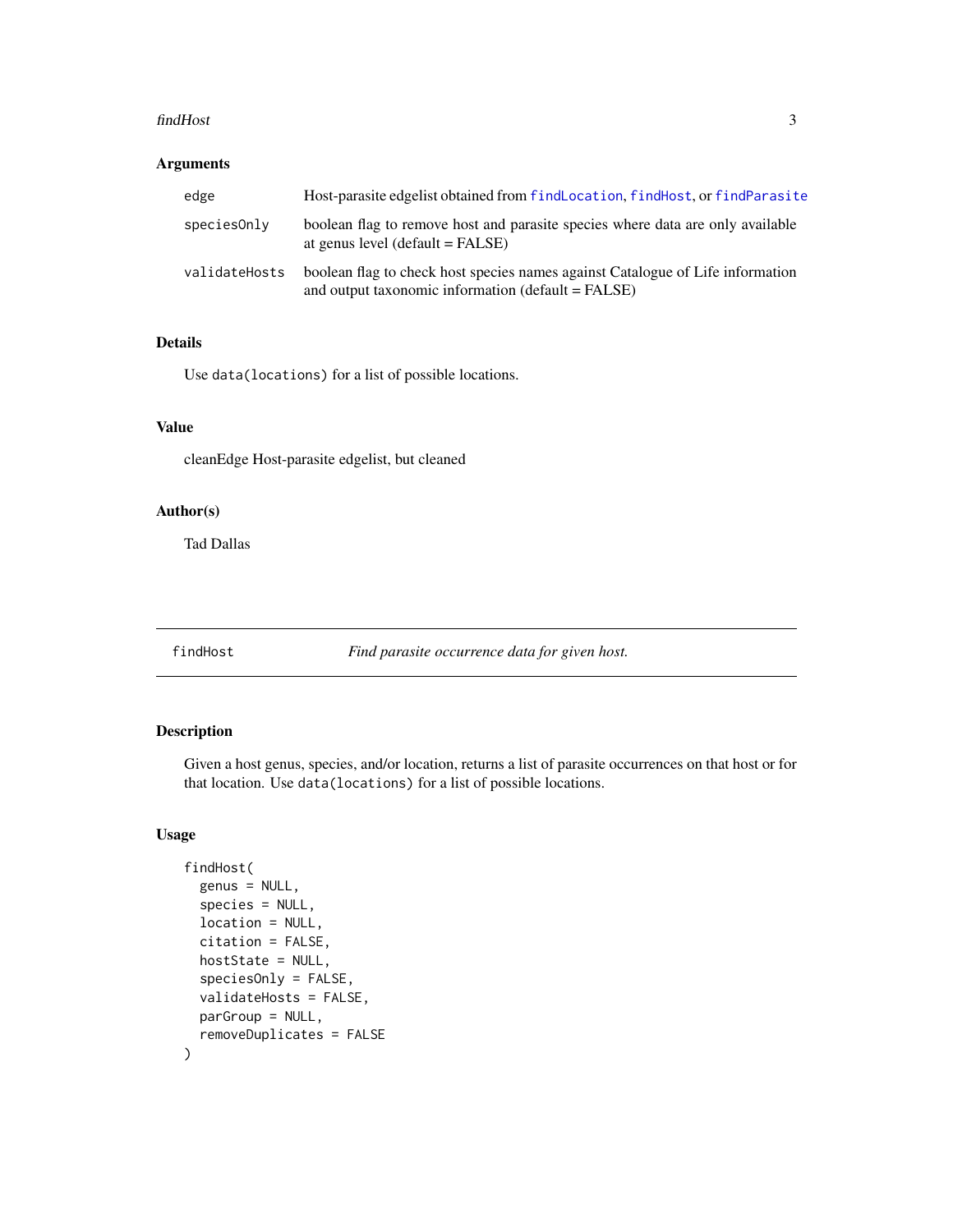#### <span id="page-2-0"></span>findHost 3

#### Arguments

| edge          | Host-parasite edgelist obtained from findLocation, findHost, or findParasite                                                         |
|---------------|--------------------------------------------------------------------------------------------------------------------------------------|
| speciesOnly   | boolean flag to remove host and parasite species where data are only available<br>at genus level (default $=$ FALSE)                 |
| validateHosts | boolean flag to check host species names against Catalogue of Life information<br>and output taxonomic information (default = FALSE) |

#### Details

Use data(locations) for a list of possible locations.

#### Value

cleanEdge Host-parasite edgelist, but cleaned

#### Author(s)

Tad Dallas

<span id="page-2-1"></span>findHost *Find parasite occurrence data for given host.*

#### Description

Given a host genus, species, and/or location, returns a list of parasite occurrences on that host or for that location. Use data(locations) for a list of possible locations.

#### Usage

```
findHost(
  genus = NULL,
  species = NULL,
  location = NULL,
  citation = FALSE,
  hostState = NULL,
  speciesOnly = FALSE,
  validateHosts = FALSE,
 parGroup = NULL,
  removeDuplicates = FALSE
\mathcal{E}
```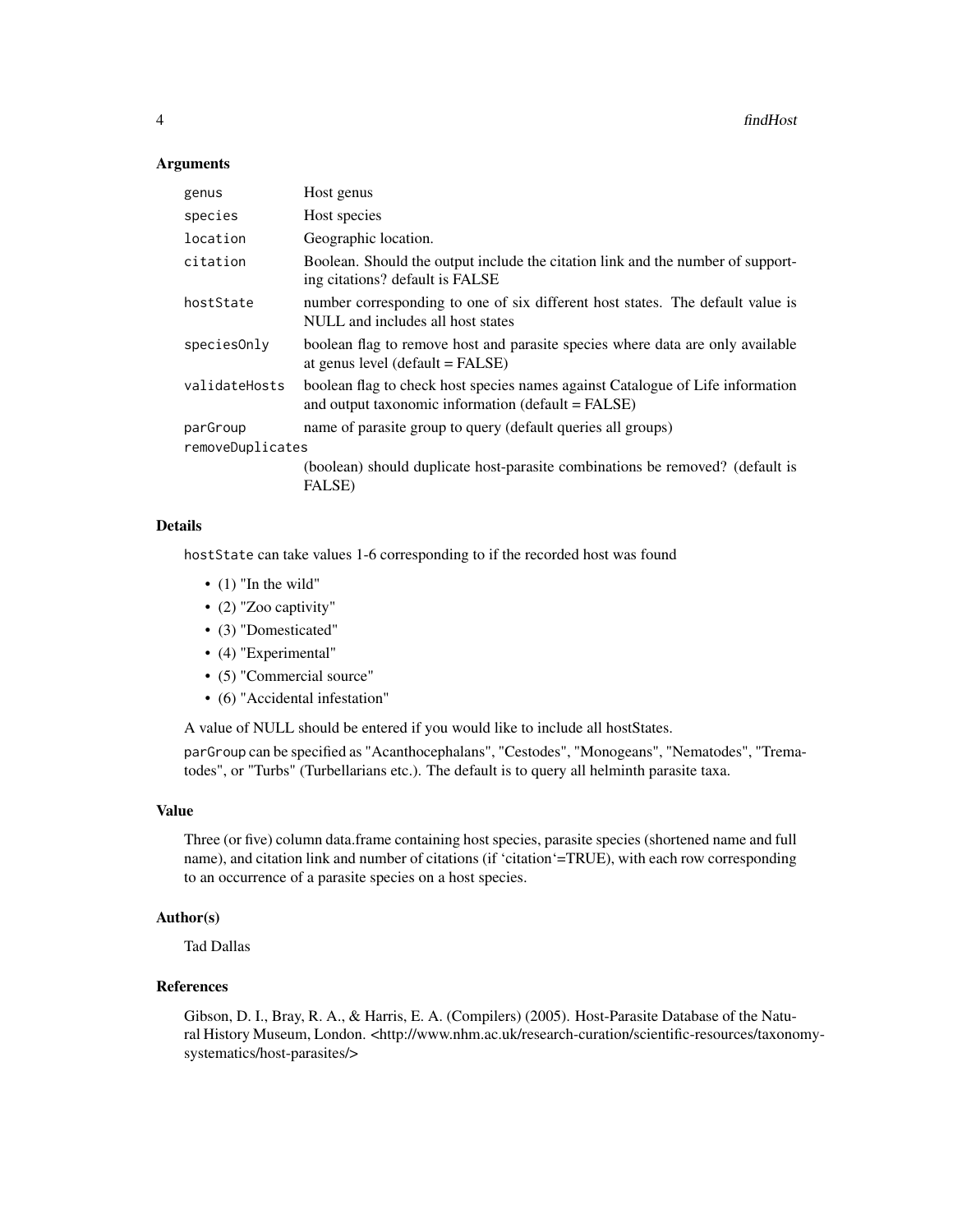#### **Arguments**

| genus            | Host genus                                                                                                                           |  |
|------------------|--------------------------------------------------------------------------------------------------------------------------------------|--|
| species          | Host species                                                                                                                         |  |
| location         | Geographic location.                                                                                                                 |  |
| citation         | Boolean. Should the output include the citation link and the number of support-<br>ing citations? default is FALSE                   |  |
| hostState        | number corresponding to one of six different host states. The default value is<br>NULL and includes all host states                  |  |
| speciesOnly      | boolean flag to remove host and parasite species where data are only available<br>at genus level $(default = FALSE)$                 |  |
| validateHosts    | boolean flag to check host species names against Catalogue of Life information<br>and output taxonomic information (default = FALSE) |  |
| parGroup         | name of parasite group to query (default queries all groups)                                                                         |  |
| removeDuplicates |                                                                                                                                      |  |
|                  | (boolean) should duplicate host-parasite combinations be removed? (default is<br><b>FALSE</b> )                                      |  |

#### Details

hostState can take values 1-6 corresponding to if the recorded host was found

- $\bullet$  (1) "In the wild"
- (2) "Zoo captivity"
- (3) "Domesticated"
- (4) "Experimental"
- (5) "Commercial source"
- (6) "Accidental infestation"

A value of NULL should be entered if you would like to include all hostStates.

parGroup can be specified as "Acanthocephalans", "Cestodes", "Monogeans", "Nematodes", "Trematodes", or "Turbs" (Turbellarians etc.). The default is to query all helminth parasite taxa.

#### Value

Three (or five) column data.frame containing host species, parasite species (shortened name and full name), and citation link and number of citations (if 'citation'=TRUE), with each row corresponding to an occurrence of a parasite species on a host species.

#### Author(s)

Tad Dallas

#### References

Gibson, D. I., Bray, R. A., & Harris, E. A. (Compilers) (2005). Host-Parasite Database of the Natural History Museum, London. <http://www.nhm.ac.uk/research-curation/scientific-resources/taxonomysystematics/host-parasites/>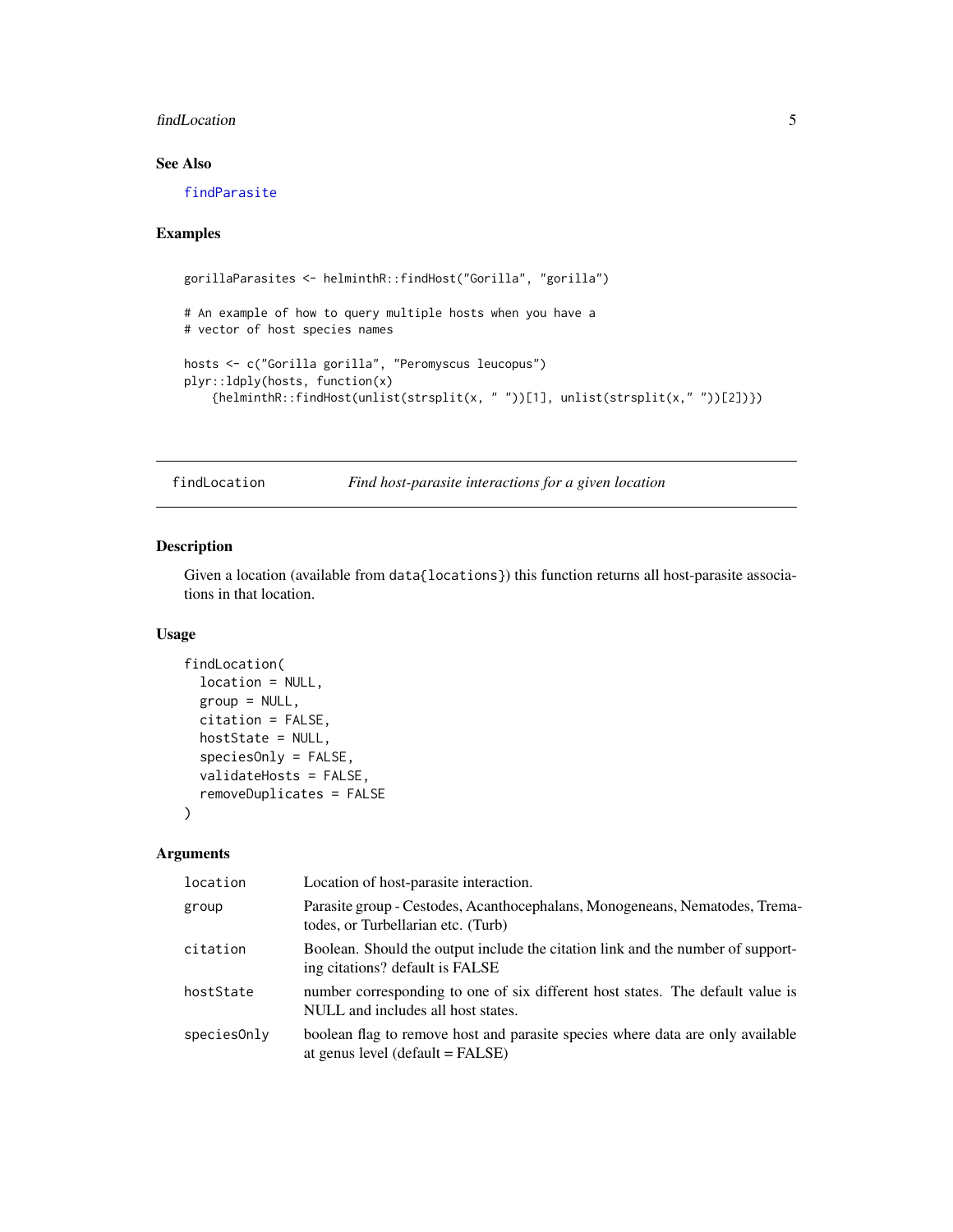#### <span id="page-4-0"></span>findLocation 5

#### See Also

[findParasite](#page-6-1)

#### Examples

```
gorillaParasites <- helminthR::findHost("Gorilla", "gorilla")
# An example of how to query multiple hosts when you have a
# vector of host species names
hosts <- c("Gorilla gorilla", "Peromyscus leucopus")
plyr::ldply(hosts, function(x)
    {helminthR::findHost(unlist(strsplit(x, " "))[1], unlist(strsplit(x," "))[2])})
```
<span id="page-4-1"></span>findLocation *Find host-parasite interactions for a given location*

#### Description

Given a location (available from data{locations}) this function returns all host-parasite associations in that location.

#### Usage

```
findLocation(
  location = NULL,
  group = NULL,citation = FALSE,
 hostState = NULL,
  speciesOnly = FALSE,
 validateHosts = FALSE,
  removeDuplicates = FALSE
)
```
#### Arguments

| location    | Location of host-parasite interaction.                                                                               |
|-------------|----------------------------------------------------------------------------------------------------------------------|
| group       | Parasite group - Cestodes, Acanthocephalans, Monogeneans, Nematodes, Trema-<br>todes, or Turbellarian etc. (Turb)    |
| citation    | Boolean. Should the output include the citation link and the number of support-<br>ing citations? default is FALSE   |
| hostState   | number corresponding to one of six different host states. The default value is<br>NULL and includes all host states. |
| species0nly | boolean flag to remove host and parasite species where data are only available<br>at genus level $(detault = FALSE)$ |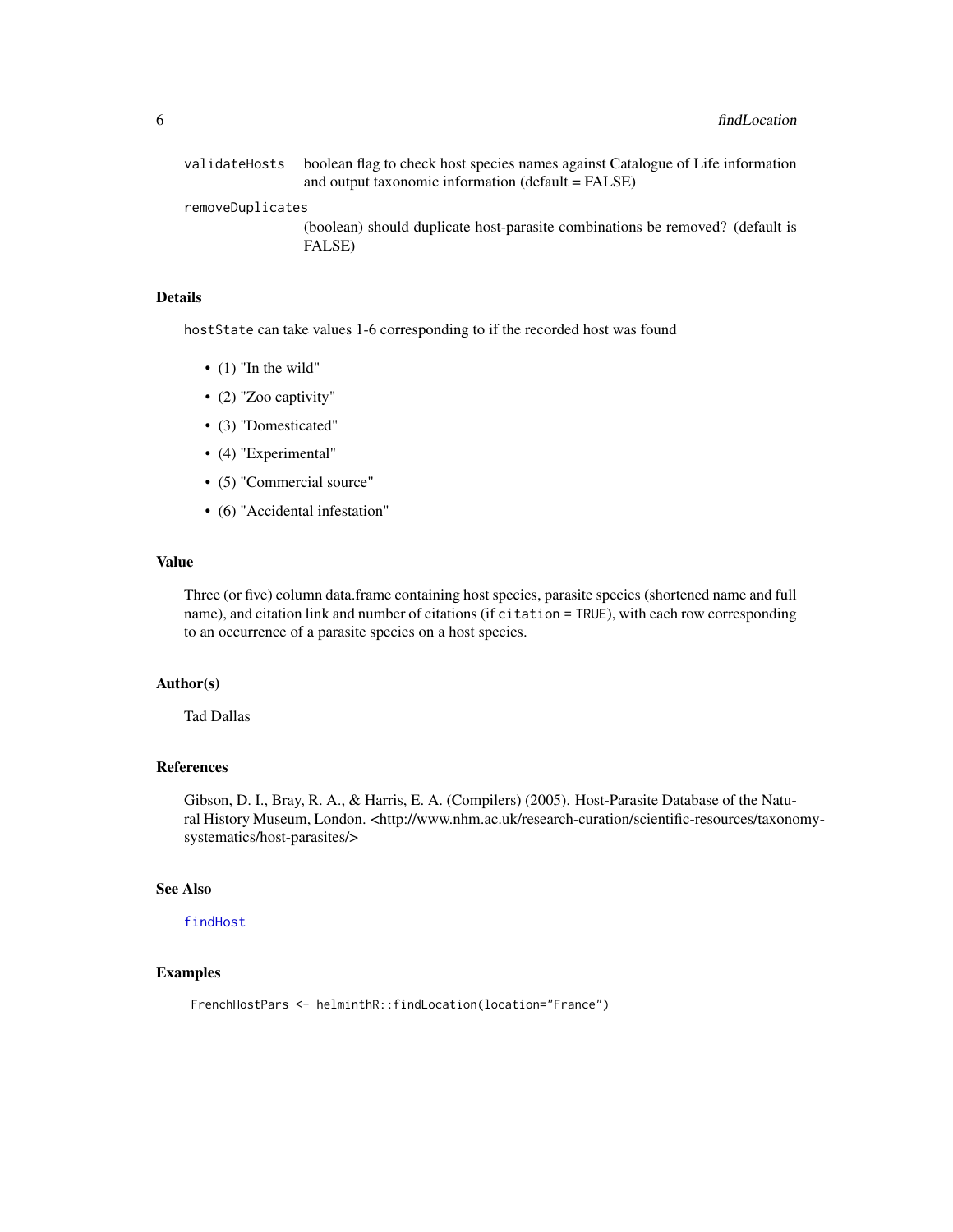<span id="page-5-0"></span>

| validateHosts    | boolean flag to check host species names against Catalogue of Life information<br>and output taxonomic information $(default = FALSE)$ |
|------------------|----------------------------------------------------------------------------------------------------------------------------------------|
| removeDuplicates |                                                                                                                                        |
|                  | (boolean) should duplicate host-parasite combinations be removed? (default is<br>FALSE)                                                |

#### Details

hostState can take values 1-6 corresponding to if the recorded host was found

- $\bullet$  (1) "In the wild"
- (2) "Zoo captivity"
- (3) "Domesticated"
- (4) "Experimental"
- (5) "Commercial source"
- (6) "Accidental infestation"

#### Value

Three (or five) column data.frame containing host species, parasite species (shortened name and full name), and citation link and number of citations (if citation = TRUE), with each row corresponding to an occurrence of a parasite species on a host species.

#### Author(s)

Tad Dallas

#### References

Gibson, D. I., Bray, R. A., & Harris, E. A. (Compilers) (2005). Host-Parasite Database of the Natural History Museum, London. <http://www.nhm.ac.uk/research-curation/scientific-resources/taxonomysystematics/host-parasites/>

#### See Also

[findHost](#page-2-1)

#### Examples

FrenchHostPars <- helminthR::findLocation(location="France")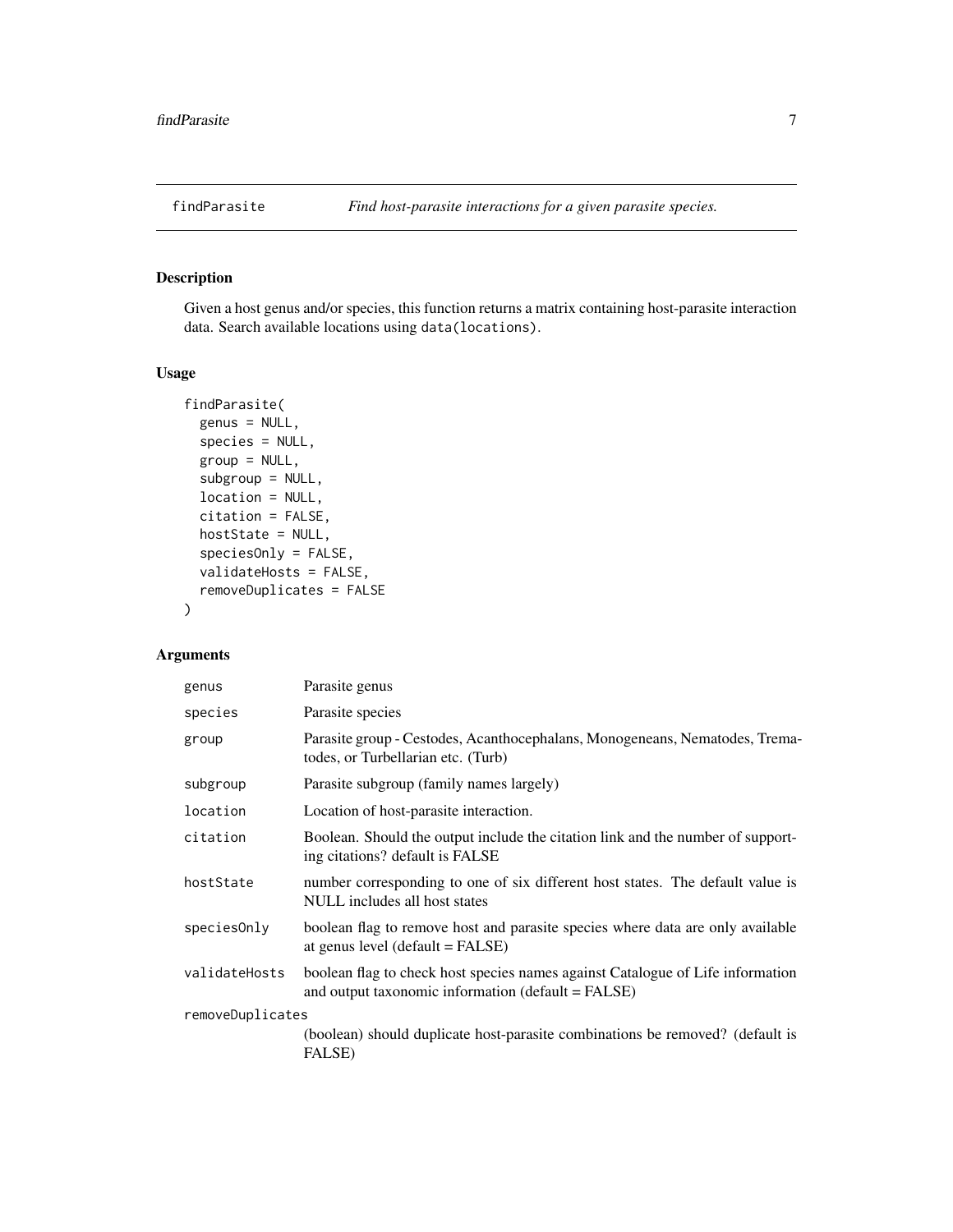<span id="page-6-1"></span><span id="page-6-0"></span>

#### Description

Given a host genus and/or species, this function returns a matrix containing host-parasite interaction data. Search available locations using data(locations).

#### Usage

```
findParasite(
  genus = NULL,
  species = NULL,
  group = NULL,
  subgroup = NULL,
  location = NULL,
  citation = FALSE,
  hostState = NULL,
  speciesOnly = FALSE,
  validateHosts = FALSE,
  removeDuplicates = FALSE
)
```
#### Arguments

| genus            | Parasite genus                                                                                                                       |
|------------------|--------------------------------------------------------------------------------------------------------------------------------------|
| species          | Parasite species                                                                                                                     |
| group            | Parasite group - Cestodes, Acanthocephalans, Monogeneans, Nematodes, Trema-<br>todes, or Turbellarian etc. (Turb)                    |
| subgroup         | Parasite subgroup (family names largely)                                                                                             |
| location         | Location of host-parasite interaction.                                                                                               |
| citation         | Boolean. Should the output include the citation link and the number of support-<br>ing citations? default is FALSE                   |
| hostState        | number corresponding to one of six different host states. The default value is<br>NULL includes all host states                      |
| species0nly      | boolean flag to remove host and parasite species where data are only available<br>at genus level (default = FALSE)                   |
| validateHosts    | boolean flag to check host species names against Catalogue of Life information<br>and output taxonomic information (default = FALSE) |
| removeDuplicates |                                                                                                                                      |
|                  | (boolean) should duplicate host-parasite combinations be removed? (default is<br><b>FALSE</b> )                                      |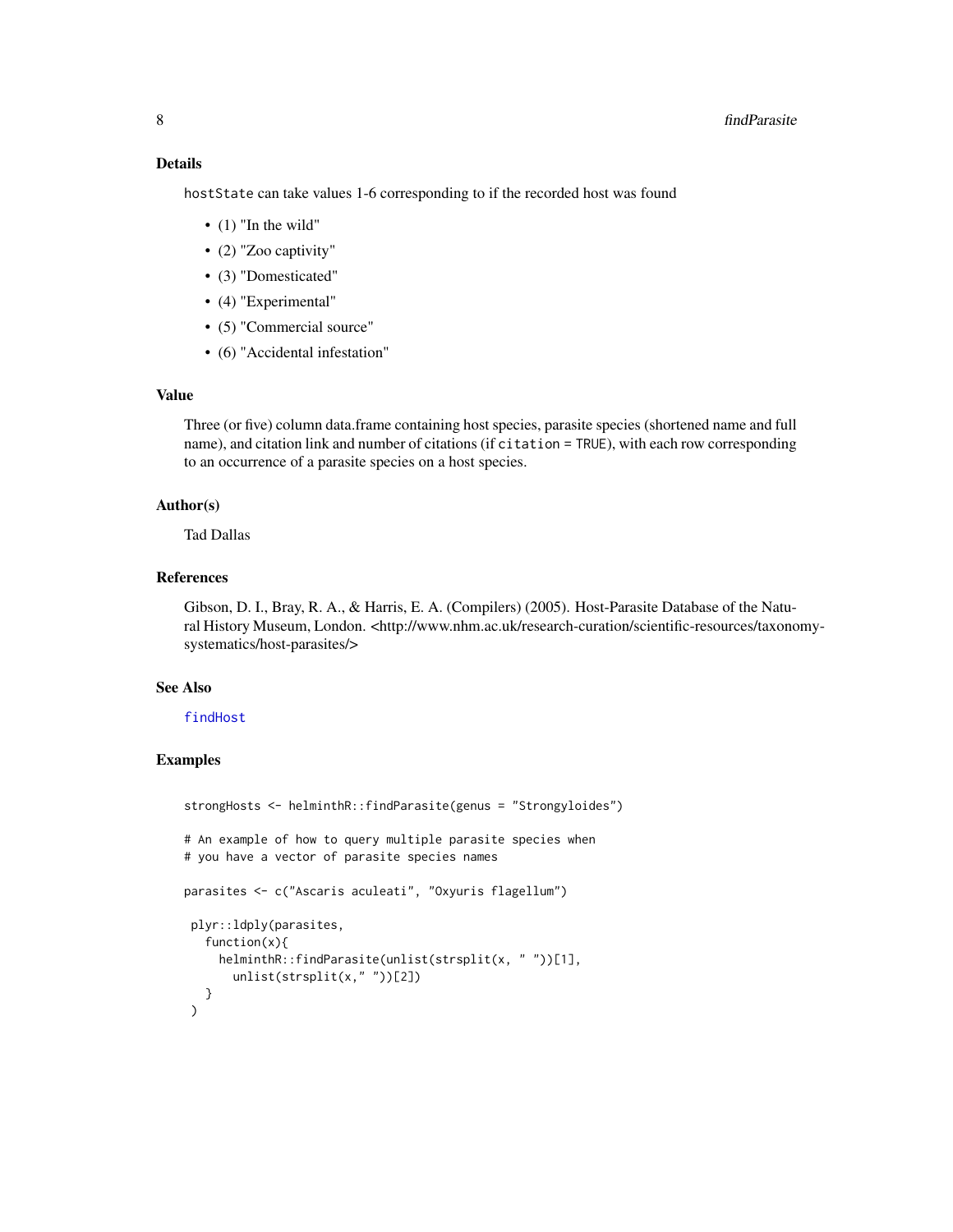<span id="page-7-0"></span>hostState can take values 1-6 corresponding to if the recorded host was found

- $\bullet$  (1) "In the wild"
- (2) "Zoo captivity"
- (3) "Domesticated"
- (4) "Experimental"
- (5) "Commercial source"
- (6) "Accidental infestation"

#### Value

Three (or five) column data.frame containing host species, parasite species (shortened name and full name), and citation link and number of citations (if citation = TRUE), with each row corresponding to an occurrence of a parasite species on a host species.

#### Author(s)

Tad Dallas

#### References

Gibson, D. I., Bray, R. A., & Harris, E. A. (Compilers) (2005). Host-Parasite Database of the Natural History Museum, London. <http://www.nhm.ac.uk/research-curation/scientific-resources/taxonomysystematics/host-parasites/>

#### See Also

#### [findHost](#page-2-1)

#### Examples

```
strongHosts <- helminthR::findParasite(genus = "Strongyloides")
# An example of how to query multiple parasite species when
# you have a vector of parasite species names
parasites <- c("Ascaris aculeati", "Oxyuris flagellum")
plyr::ldply(parasites,
  function(x){
    helminthR::findParasite(unlist(strsplit(x, " "))[1],
      unlist(strsplit(x," "))[2])
  }
)
```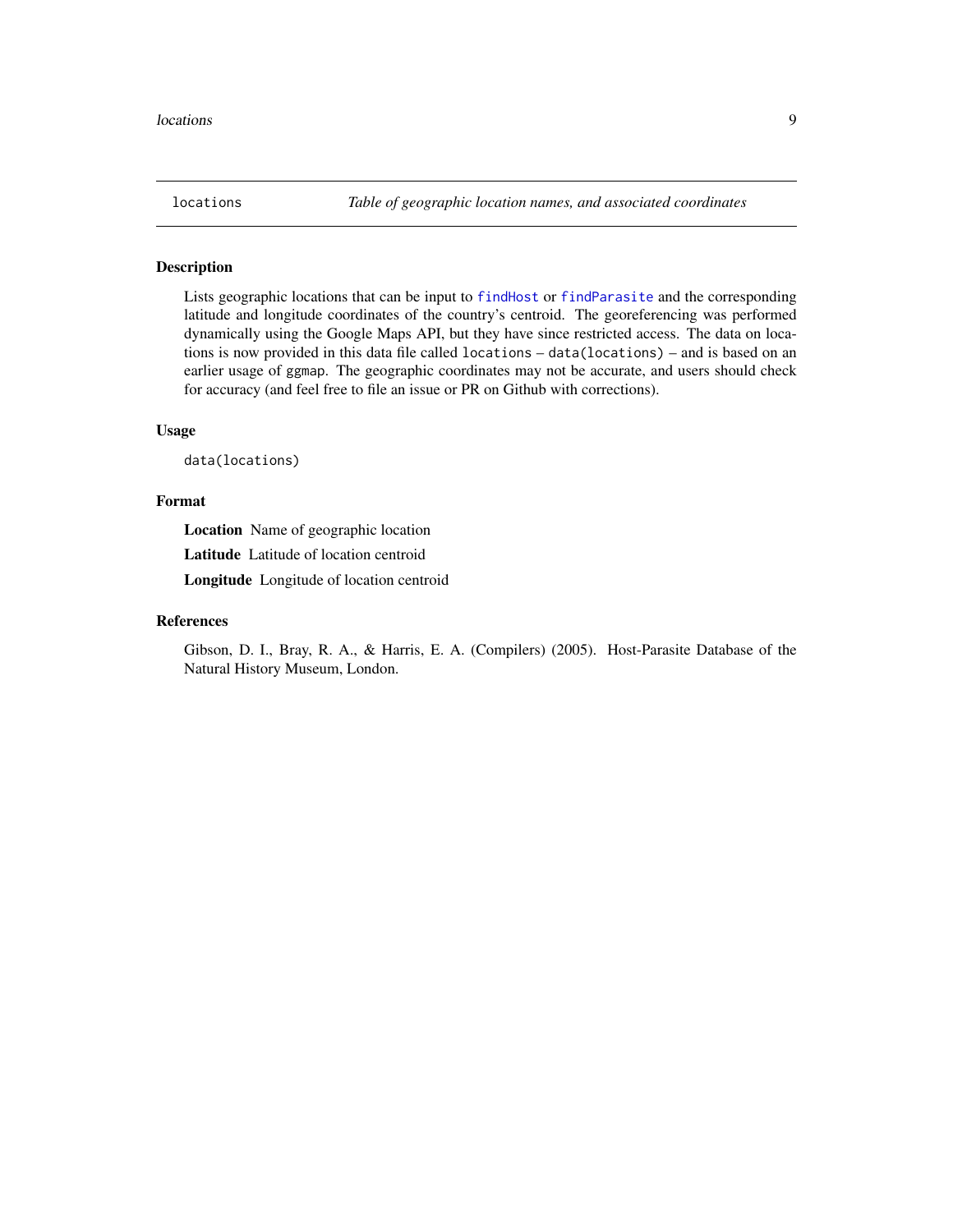<span id="page-8-0"></span>

#### Description

Lists geographic locations that can be input to [findHost](#page-2-1) or [findParasite](#page-6-1) and the corresponding latitude and longitude coordinates of the country's centroid. The georeferencing was performed dynamically using the Google Maps API, but they have since restricted access. The data on locations is now provided in this data file called locations – data(locations) – and is based on an earlier usage of ggmap. The geographic coordinates may not be accurate, and users should check for accuracy (and feel free to file an issue or PR on Github with corrections).

#### Usage

data(locations)

#### Format

Location Name of geographic location

Latitude Latitude of location centroid

Longitude Longitude of location centroid

#### References

Gibson, D. I., Bray, R. A., & Harris, E. A. (Compilers) (2005). Host-Parasite Database of the Natural History Museum, London.